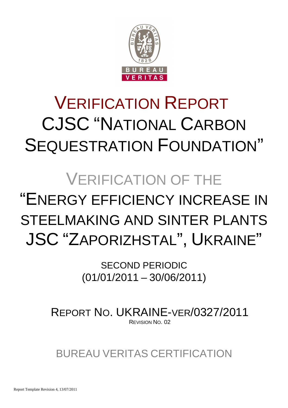

# VERIFICATION REPORT CJSC "NATIONAL CARBON SEQUESTRATION FOUNDATION"

# VERIFICATION OF THE

# "ENERGY EFFICIENCY INCREASE IN STEELMAKING AND SINTER PLANTS JSC "ZAPORIZHSTAL", UKRAINE"

SECOND PERIODIC (01/01/2011 – 30/06/2011)

REPORT NO. UKRAINE-VER/0327/2011 REVISION NO. 02

BUREAU VERITAS CERTIFICATION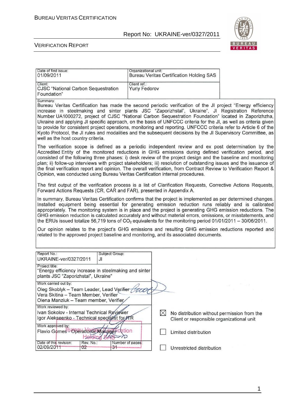

| Date of first issue:<br>01/09/2011                                                                                                                                                                                                                                                                                                                                                                                                                                                                                                                                                                                                                                                                                                  | Organizational unit:                 | <b>Bureau Veritas Certification Holding SAS</b>                                          |  |
|-------------------------------------------------------------------------------------------------------------------------------------------------------------------------------------------------------------------------------------------------------------------------------------------------------------------------------------------------------------------------------------------------------------------------------------------------------------------------------------------------------------------------------------------------------------------------------------------------------------------------------------------------------------------------------------------------------------------------------------|--------------------------------------|------------------------------------------------------------------------------------------|--|
| Client:<br><b>CJSC</b> "National Carbon Sequestration<br>Foundation"                                                                                                                                                                                                                                                                                                                                                                                                                                                                                                                                                                                                                                                                | Client ref.:<br><b>Yuriy Fedorov</b> |                                                                                          |  |
| Summary:<br>Bureau Veritas Certification has made the second periodic verification of the JI project "Energy efficiency<br>increase in steelmaking and sinter plants JSC "Zaporizhstal", Ukraine", JI Registration Reference<br>Number UA1000272, project of CJSC "National Carbon Sequestration Foundation" located in Zaporizhzha,<br>Ukraine and applying JI specific approach, on the basis of UNFCCC criteria for the JI, as well as criteria given<br>to provide for consistent project operations, monitoring and reporting. UNFCCC criteria refer to Article 6 of the<br>Kyoto Protocol, the JI rules and modalities and the subsequent decisions by the JI Supervisory Committee, as<br>well as the host country criteria. |                                      |                                                                                          |  |
| The verification scope is defined as a periodic independent review and ex post determination by the<br>Accredited Entity of the monitored reductions in GHG emissions during defined verification period, and<br>consisted of the following three phases: i) desk review of the project design and the baseline and monitoring<br>plan; ii) follow-up interviews with project stakeholders; iii) resolution of outstanding issues and the issuance of<br>the final verification report and opinion. The overall verification, from Contract Review to Verification Report &<br>Opinion, was conducted using Bureau Veritas Certification internal procedures.                                                                       |                                      |                                                                                          |  |
| The first output of the verification process is a list of Clarification Requests, Corrective Actions Requests,<br>Forward Actions Requests (CR, CAR and FAR), presented in Appendix A.                                                                                                                                                                                                                                                                                                                                                                                                                                                                                                                                              |                                      |                                                                                          |  |
| In summary, Bureau Veritas Certification confirms that the project is implemented as per determined changes.<br>Installed equipment being essential for generating emission reduction runs reliably and is calibrated<br>appropriately. The monitoring system is in place and the project is generating GHG emission reductions. The<br>GHG emission reduction is calculated accurately and without material errors, omissions, or misstatements, and<br>the ERUs issued totalize 56,719 tons of $CO2$ equivalents for the monitoring period 01/01/2011 - 30/06/2011.                                                                                                                                                               |                                      |                                                                                          |  |
| Our opinion relates to the project's GHG emissions and resulting GHG emission reductions reported and<br>related to the approved project baseline and monitoring, and its associated documents.                                                                                                                                                                                                                                                                                                                                                                                                                                                                                                                                     |                                      |                                                                                          |  |
| Report No.:<br>Subject Group:<br>UKRAINE-ver/0327/2011<br>JI                                                                                                                                                                                                                                                                                                                                                                                                                                                                                                                                                                                                                                                                        |                                      |                                                                                          |  |
| Project title:<br>"Energy efficiency increase in steelmaking and sinter<br>plants JSC "Zaporizhstal", Ukraine"                                                                                                                                                                                                                                                                                                                                                                                                                                                                                                                                                                                                                      |                                      |                                                                                          |  |
| Work carried out by:<br>Oleg Skoblyk - Team Leader, Lead Verifier<br>Vera Skitina - Team Member, Verifier<br>Olena Manziuk - Team member, Verifier                                                                                                                                                                                                                                                                                                                                                                                                                                                                                                                                                                                  | $\rightarrow$                        |                                                                                          |  |
| Work reviewed by:<br>Ivan Sokolov - Internal Technical Reviewer<br>Igor Alekseenko - Technical specialist for FR                                                                                                                                                                                                                                                                                                                                                                                                                                                                                                                                                                                                                    | $\bowtie$                            | No distribution without permission from the<br>Client or responsible organizational unit |  |
| Work approved by:<br>Flavio Gomes-Operational Manager cation<br>Hereing 849                                                                                                                                                                                                                                                                                                                                                                                                                                                                                                                                                                                                                                                         |                                      | Limited distribution                                                                     |  |
| Date of this revision:<br>Rev. No.:<br>02/09/2011<br>02<br>31                                                                                                                                                                                                                                                                                                                                                                                                                                                                                                                                                                                                                                                                       | Number of pages:                     | Unrestricted distribution                                                                |  |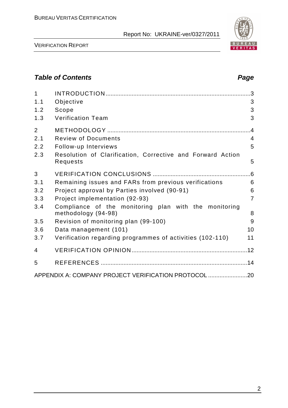

VERIFICATION REPORT

### **Table of Contents Page 2014**

| $\mathbf{1}$   |                                                                              |                 |
|----------------|------------------------------------------------------------------------------|-----------------|
| 1.1            | Objective                                                                    | 3               |
| 1.2            | Scope                                                                        | 3               |
| 1.3            | <b>Verification Team</b>                                                     | 3               |
| $\overline{2}$ |                                                                              | $\overline{.4}$ |
| 2.1            | <b>Review of Documents</b>                                                   | $\overline{4}$  |
| 2.2            | Follow-up Interviews                                                         | 5               |
| 2.3            | Resolution of Clarification, Corrective and Forward Action<br>Requests       | 5               |
| 3              |                                                                              | .6              |
| 3.1            | Remaining issues and FARs from previous verifications                        | 6               |
| 3.2            | Project approval by Parties involved (90-91)                                 | 6               |
| 3.3            | Project implementation (92-93)                                               | $\overline{7}$  |
| 3.4            | Compliance of the monitoring plan with the monitoring<br>methodology (94-98) | 8               |
| 3.5            | Revision of monitoring plan (99-100)                                         | 9               |
| 3.6            | Data management (101)                                                        | 10              |
| 3.7            | Verification regarding programmes of activities (102-110)                    | 11              |
| 4              |                                                                              |                 |
| 5              |                                                                              |                 |
|                | APPENDIX A: COMPANY PROJECT VERIFICATION PROTOCOL 20                         |                 |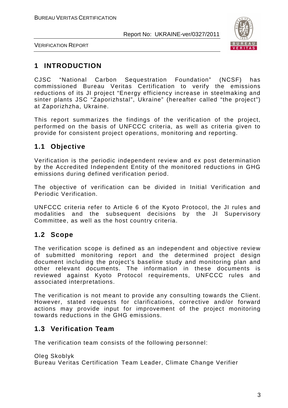

VERIFICATION REPORT

# **1 INTRODUCTION**

CJSC "National Carbon Sequestration Foundation" (NCSF) has commissioned Bureau Veritas Certification to verify the emissions reductions of its JI project "Energy efficiency increase in steelmaking and sinter plants JSC "Zaporizhstal", Ukraine" (hereafter called "the project") at Zaporizhzha, Ukraine.

This report summarizes the findings of the verification of the project, performed on the basis of UNFCCC criteria, as well as criteria given to provide for consistent project operations, monitoring and reporting.

## **1.1 Objective**

Verification is the periodic independent review and ex post determination by the Accredited Independent Entity of the monitored reductions in GHG emissions during defined verification period.

The objective of verification can be divided in Initial Verification and Periodic Verification.

UNFCCC criteria refer to Article 6 of the Kyoto Protocol, the JI rules and modalities and the subsequent decisions by the JI Supervisory Committee, as well as the host country criteria.

#### **1.2 Scope**

The verification scope is defined as an independent and objective review of submitted monitoring report and the determined project design document including the project's baseline study and monitoring plan and other relevant documents. The information in these documents is reviewed against Kyoto Protocol requirements, UNFCCC rules and associated interpretations.

The verification is not meant to provide any consulting towards the Client. However, stated requests for clarifications, corrective and/or forward actions may provide input for improvement of the project monitoring towards reductions in the GHG emissions.

## **1.3 Verification Team**

The verification team consists of the following personnel:

Oleg Skoblyk Bureau Veritas Certification Team Leader, Climate Change Verifier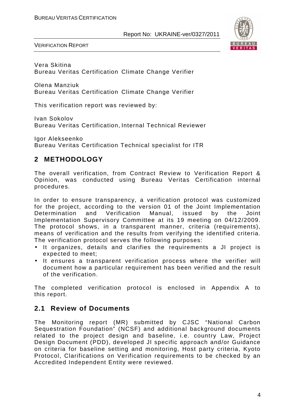

VERIFICATION REPORT

Vera Skitina Bureau Veritas Certification Climate Change Verifier

Olena Manziuk Bureau Veritas Certification Climate Change Verifier

This verification report was reviewed by:

Ivan Sokolov Bureau Veritas Certification, Internal Technical Reviewer

Igor Alekseenko Bureau Veritas Certification Technical specialist for ITR

# **2 METHODOLOGY**

The overall verification, from Contract Review to Verification Report & Opinion, was conducted using Bureau Veritas Certification internal procedures.

In order to ensure transparency, a verification protocol was customized for the project, according to the version 01 of the Joint Implementation Determination and Verification Manual, issued by the Joint Implementation Supervisory Committee at its 19 meeting on 04/12/2009. The protocol shows, in a transparent manner, criteria (requirements), means of verification and the results from verifying the identified criteria. The verification protocol serves the following purposes:

- It organizes, details and clarifies the requirements a JI project is expected to meet;
- It ensures a transparent verification process where the verifier will document how a particular requirement has been verified and the result of the verification.

The completed verification protocol is enclosed in Appendix A to this report.

#### **2.1 Review of Documents**

The Monitoring report (MR) submitted by CJSC "National Carbon Sequestration Foundation" (NCSF) and additional background documents related to the project design and baseline, i.e. country Law, Project Design Document (PDD), developed JI specific approach and/or Guidance on criteria for baseline setting and monitoring, Host party criteria, Kyoto Protocol, Clarifications on Verification requirements to be checked by an Accredited Independent Entity were reviewed.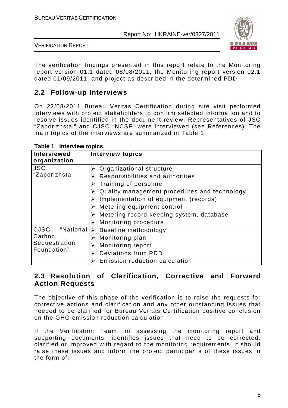

VERIFICATION REPORT

The verification findings presented in this report relate to the Monitoring report version 01.1 dated 08/08/2011, the Monitoring report version 02.1 dated 01/09/2011, and project as described in the determined PDD.

# **2.2 Follow-up Interviews**

On 22/08/2011 Bureau Veritas Certification during site visit performed interviews with project stakeholders to confirm selected information and to resolve issues identified in the document review. Representatives of JSC "Zaporizhstal" and CJSC "NCSF" were interviewed (see References). The main topics of the interviews are summarized in Table 1.

| Interviewed<br>organization                                        | <b>Interview topics</b>                                                                                                                                                                                                                                                                                                             |
|--------------------------------------------------------------------|-------------------------------------------------------------------------------------------------------------------------------------------------------------------------------------------------------------------------------------------------------------------------------------------------------------------------------------|
| <b>JSC</b><br>"Zaporizhstal                                        | $\triangleright$ Organizational structure<br>Responsibilities and authorities<br>Training of personnel<br>Quality management procedures and technology<br>Implementation of equipment (records)<br>$\triangleright$ Metering equipment control<br>Metering record keeping system, database<br>$\triangleright$ Monitoring procedure |
| <b>CJSC</b><br>"National<br>Carbon<br>Sequestration<br>Foundation" | $\triangleright$ Baseline methodology<br>Monitoring plan<br><b>Monitoring report</b><br>Deviations from PDD<br>Emission reduction calculation                                                                                                                                                                                       |

**Table 1 Interview topics** 

### **2.3 Resolution of Clarification, Corrective and Forward Action Requests**

The objective of this phase of the verification is to raise the requests for corrective actions and clarification and any other outstanding issues that needed to be clarified for Bureau Veritas Certification positive conclusion on the GHG emission reduction calculation.

If the Verification Team, in assessing the monitoring report and supporting documents, identifies issues that need to be corrected, clarified or improved with regard to the monitoring requirements, it should raise these issues and inform the project participants of these issues in the form of: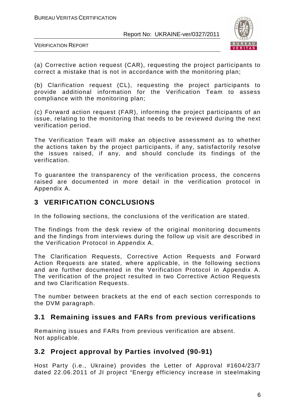

VERIFICATION REPORT

(a) Corrective action request (CAR), requesting the project participants to correct a mistake that is not in accordance with the monitoring plan;

(b) Clarification request (CL), requesting the project participants to provide additional information for the Verification Team to assess compliance with the monitoring plan;

(c) Forward action request (FAR), informing the project participants of an issue, relating to the monitoring that needs to be reviewed during the next verification period.

The Verification Team will make an objective assessment as to whether the actions taken by the project participants, if any, satisfactorily resolve the issues raised, if any, and should conclude its findings of the verification.

To guarantee the transparency of the verification process, the concerns raised are documented in more detail in the verification protocol in Appendix A.

### **3 VERIFICATION CONCLUSIONS**

In the following sections, the conclusions of the verification are stated.

The findings from the desk review of the original monitoring documents and the findings from interviews during the follow up visit are described in the Verification Protocol in Appendix A.

The Clarification Requests, Corrective Action Requests and Forward Action Requests are stated, where applicable, in the following sections and are further documented in the Verification Protocol in Appendix A. The verification of the project resulted in two Corrective Action Requests and two Clarification Requests.

The number between brackets at the end of each section corresponds to the DVM paragraph.

#### **3.1 Remaining issues and FARs from previous verifications**

Remaining issues and FARs from previous verification are absent. Not applicable.

## **3.2 Project approval by Parties involved (90-91)**

Host Party (i.e., Ukraine) provides the Letter of Approval #1604/23/7 dated 22.06.2011 of JI project "Energy efficiency increase in steelmaking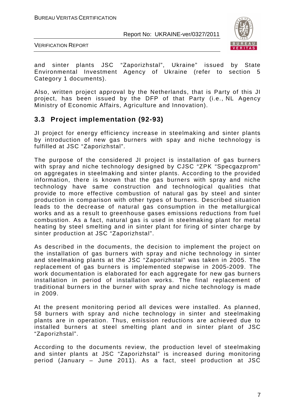

VERIFICATION REPORT

and sinter plants JSC "Zaporizhstal", Ukraine" issued by State Environmental Investment Agency of Ukraine (refer to section 5 Category 1 documents).

Also, written project approval by the Netherlands, that is Party of this JI project, has been issued by the DFP of that Party (i.e., NL Agency Ministry of Economic Affairs, Agriculture and Innovation).

#### **3.3 Project implementation (92-93)**

JI project for energy efficiency increase in steelmaking and sinter plants by introduction of new gas burners with spay and niche technology is fulfilled at JSC "Zaporizhstal".

The purpose of the considered JI project is installation of gas burners with spray and niche technology designed by CJSC "ZPK "Specgazprom" on aggregates in steelmaking and sinter plants. According to the provided information, there is known that the gas burners with spray and niche technology have same construction and technological qualities that provide to more effective combustion of natural gas by steel and sinter production in comparison with other types of burners. Described situation leads to the decrease of natural gas consumption in the metallurgical works and as a result to greenhouse gases emissions reductions from fuel combustion. As a fact, natural gas is used in steelmaking plant for metal heating by steel smelting and in sinter plant for firing of sinter charge by sinter production at JSC "Zaporizhstal".

As described in the documents, the decision to implement the project on the installation of gas burners with spray and niche technology in sinter and steelmaking plants at the JSC "Zaporizhstal" was taken in 2005. The replacement of gas burners is implemented stepwise in 2005-2009. The work documentation is elaborated for each aggregate for new gas burners installation in period of installation works. The final replacement of traditional burners in the burner with spray and niche technology is made in 2009.

At the present monitoring period all devices were installed. As planned, 58 burners with spray and niche technology in sinter and steelmaking plants are in operation. Thus, emission reductions are achieved due to installed burners at steel smelting plant and in sinter plant of JSC "Zaporizhstal".

According to the documents review, the production level of steelmaking and sinter plants at JSC "Zaporizhstal" is increased during monitoring period (January – June 2011). As a fact, steel production at JSC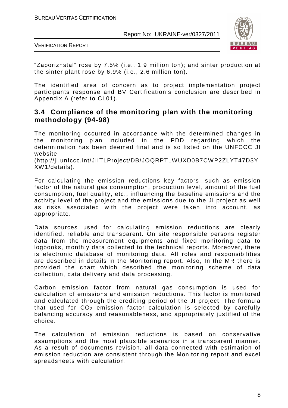

VERIFICATION REPORT

"Zaporizhstal" rose by 7.5% (i.e., 1.9 million ton); and sinter production at the sinter plant rose by 6.9% (i.e., 2.6 million ton).

The identified area of concern as to project implementation project participants response and BV Certification's conclusion are described in Appendix A (refer to CL01).

#### **3.4 Compliance of the monitoring plan with the monitoring methodology (94-98)**

The monitoring occurred in accordance with the determined changes in the monitoring plan included in the PDD regarding which the determination has been deemed final and is so listed on the UNFCCC JI website

(http://ji.unfccc.int/JIITLProject/DB/JOQRPTLWUXD0B7CWP2ZLYT47D3Y XW1/details).

For calculating the emission reductions key factors, such as emission factor of the natural gas consumption, production level, amount of the fuel consumption, fuel quality, etc., influencing the baseline emissions and the activity level of the project and the emissions due to the JI project as well as risks associated with the project were taken into account, as appropriate.

Data sources used for calculating emission reductions are clearly identified, reliable and transparent. On site responsible persons register data from the measurement equipments and fixed monitoring data to logbooks, monthly data collected to the technical reports. Moreover, there is electronic database of monitoring data. All roles and responsibilities are described in details in the Monitoring report. Also, In the MR there is provided the chart which described the monitoring scheme of data collection, data delivery and data processing.

Carbon emission factor from natural gas consumption is used for calculation of emissions and emission reductions. This factor is monitored and calculated through the crediting period of the JI project. The formula that used for  $CO<sub>2</sub>$  emission factor calculation is selected by carefully balancing accuracy and reasonableness, and appropriately justified of the choice.

The calculation of emission reductions is based on conservative assumptions and the most plausible scenarios in a transparent manner. As a result of documents revision, all data connected with estimation of emission reduction are consistent through the Monitoring report and excel spreadsheets with calculation.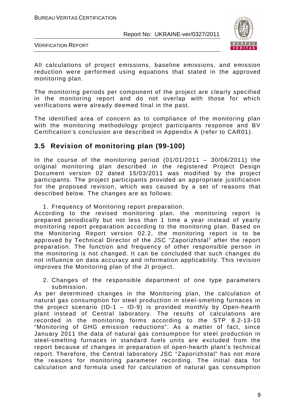

VERIFICATION REPORT

All calculations of project emissions, baseline emissions, and emission reduction were performed using equations that stated in the approved monitoring plan.

The monitoring periods per component of the project are clearly specified in the monitoring report and do not overlap with those for which verifications were already deemed final in the past.

The identified area of concern as to compliance of the monitoring plan with the monitoring methodology project participants response and BV Certification's conclusion are described in Appendix A (refer to CAR01).

### **3.5 Revision of monitoring plan (99-100)**

In the course of the monitoring period  $(01/01/2011 - 30/06/2011)$  the original monitoring plan described in the registered Project Design Document version 02 dated 15/03/2011 was modified by the project participants. The project participants provided an appropriate justification for the proposed revision, which was caused by a set of reasons that described below. The changes are as follows:

1. Frequency of Monitoring report preparation.

According to the revised monitoring plan, the monitoring report is prepared periodically but not less than 1 time a year instead of yearly monitoring report preparation according to the monitoring plan. Based on the Monitoring Report version 02.2, the monitoring report is to be approved by Technical Director of the JSC "Zaporizhstal" after the report preparation. The function and frequency of other responsible person in the monitoring is not changed. It can be concluded that such changes do not influence on data accuracy and information applicability. This revision improves the Monitoring plan of the JI project.

2. Changes of the responsible department of one type parameters submission.

As per determined changes in the Monitoring plan, the calculation of natural gas consumption for steel production in steel-smelting furnaces in the project scenario (ID-1 – ID-9) is provided monthly by Open-hearth plant instead of Central laboratory. The results of calculations are recorded in the monitoring forms according to the STP 8.2-13-10 "Monitoring of GHG emission reductions". As a matter of fact, since January 2011 the data of natural gas consumption for steel production in steel-smelting furnaces in standard fuels units are excluded from the report because of changes in preparation of open-hearth plant's technical report. Therefore, the Central laboratory JSC "Zaporizhstal" has not more the reasons for monitoring parameter recording. The initial data for calculation and formula used for calculation of natural gas consumption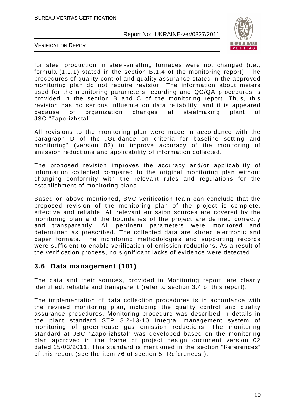

VERIFICATION REPORT

for steel production in steel-smelting furnaces were not changed (i.e., formula (1.1.1) stated in the section B.1.4 of the monitoring report). The procedures of quality control and quality assurance stated in the approved monitoring plan do not require revision. The information about meters used for the monitoring parameters recording and QC/QA procedures is provided in the section B and C of the monitoring report. Thus, this revision has no serious influence on data reliability, and it is appeared because of organization changes at steelmaking plant of JSC "Zaporizhstal".

All revisions to the monitoring plan were made in accordance with the paragraph D of the "Guidance on criteria for baseline setting and monitoring" (version 02) to improve accuracy of the monitoring of emission reductions and applicability of information collected.

The proposed revision improves the accuracy and/or applicability of information collected compared to the original monitoring plan without changing conformity with the relevant rules and regulations for the establishment of monitoring plans.

Based on above mentioned, BVC verification team can conclude that the proposed revision of the monitoring plan of the project is complete, effective and reliable. All relevant emission sources are covered by the monitoring plan and the boundaries of the project are defined correctly and transparently. All pertinent parameters were monitored and determined as prescribed. The collected data are stored electronic and paper formats. The monitoring methodologies and supporting records were sufficient to enable verification of emission reductions. As a result of the verification process, no significant lacks of evidence were detected.

#### **3.6 Data management (101)**

The data and their sources, provided in Monitoring report, are clearly identified, reliable and transparent (refer to section 3.4 of this report).

The implementation of data collection procedures is in accordance with the revised monitoring plan, including the quality control and quality assurance procedures. Monitoring procedure was described in details in the plant standard STP 8.2-13-10 Integral management system of monitoring of greenhouse gas emission reductions. The monitoring standard at JSC "Zaporizhstal" was developed based on the monitoring plan approved in the frame of project design document version 02 dated 15/03/2011. This standard is mentioned in the section "References" of this report (see the item 76 of section 5 "References").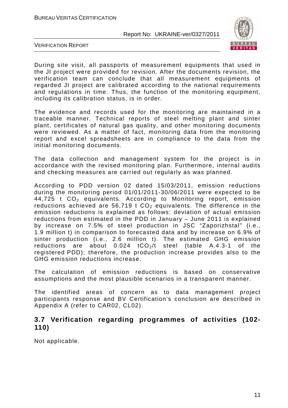

VERIFICATION REPORT

During site visit, all passports of measurement equipments that used in the JI project were provided for revision. After the documents revision, the verification team can conclude that all measurement equipments of regarded JI project are calibrated according to the national requirements and regulations in time. Thus, the function of the monitoring equipment, including its calibration status, is in order.

The evidence and records used for the monitoring are maintained in a traceable manner. Technical reports of steel melting plant and sinter plant, certificates of natural gas quality, and other monitoring documents were reviewed. As a matter of fact, monitoring data from the monitoring report and excel spreadsheets are in compliance to the data from the initial monitoring documents.

The data collection and management system for the project is in accordance with the revised monitoring plan. Furthermore, internal audits and checking measures are carried out regularly as was planned.

According to PDD version 02 dated 15/03/2011, emission reductions during the monitoring period 01/01/2011-30/06/2011 were expected to be  $44,725$  t  $CO<sub>2</sub>$  equivalents. According to Monitoring report, emission reductions achieved are 56,719 t  $CO<sub>2</sub>$  equivalents. The difference in the emission reductions is explained as follows: deviation of actual emission reductions from estimated in the PDD in January – June 2011 is explained by increase on 7.5% of steel production in JSC "Zaporizhstal" (i.e., 1.9 million t) in comparison to forecasted data and by increase on 6.9% of sinter production (i.e., 2.6 million t). The estimated GHG emission reductions are about  $0.024$  tCO<sub>2</sub>/t steel (table A.4.3-1 of the registered PDD); therefore, the production increase provides also to the GHG emission reductions increase.

The calculation of emission reductions is based on conservative assumptions and the most plausible scenarios in a transparent manner.

The identified areas of concern as to data management project participants response and BV Certification's conclusion are described in Appendix A (refer to CAR02, CL02).

#### **3.7 Verification regarding programmes of activities (102- 110)**

Not applicable.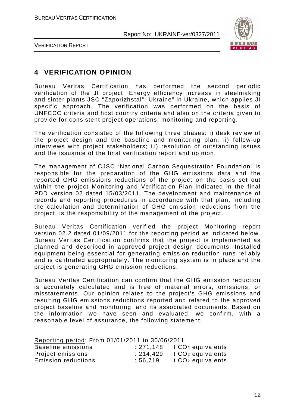

VERIFICATION REPORT

## **4 VERIFICATION OPINION**

Bureau Veritas Certification has performed the second periodic verification of the JI project "Energy efficiency increase in steelmaking and sinter plants JSC "Zaporizhstal", Ukraine" in Ukraine, which applies JI specific approach. The verification was performed on the basis of UNFCCC criteria and host country criteria and also on the criteria given to provide for consistent project operations, monitoring and reporting.

The verification consisted of the following three phases: i) desk review of the project design and the baseline and monitoring plan; ii) follow-up interviews with project stakeholders; iii) resolution of outstanding issues and the issuance of the final verification report and opinion.

The management of CJSC "National Carbon Sequestration Foundation" is responsible for the preparation of the GHG emissions data and the reported GHG emissions reductions of the project on the basis set out within the project Monitoring and Verification Plan indicated in the final PDD version 02 dated 15/03/2011. The development and maintenance of records and reporting procedures in accordance with that plan, including the calculation and determination of GHG emission reductions from the project, is the responsibility of the management of the project.

Bureau Veritas Certification verified the project Monitoring report version 02.2 dated 01/09/2011 for the reporting period as indicated below. Bureau Veritas Certification confirms that the project is implemented as planned and described in approved project design documents. Installed equipment being essential for generating emission reduction runs reliably and is calibrated appropriately. The monitoring system is in place and the project is generating GHG emission reductions.

Bureau Veritas Certification can confirm that the GHG emission reduction is accurately calculated and is free of material errors, omissions, or misstatements. Our opinion relates to the project's GHG emissions and resulting GHG emissions reductions reported and related to the approved project baseline and monitoring, and its associated documents. Based on the information we have seen and evaluated, we confirm, with a reasonable level of assurance, the following statement:

| Reporting period: From 01/01/2011 to 30/06/2011 |           |                               |
|-------------------------------------------------|-----------|-------------------------------|
| Baseline emissions                              | : 271.148 | t CO <sub>2</sub> equivalents |
| Project emissions                               | : 214.429 | t CO <sub>2</sub> equivalents |
| <b>Emission reductions</b>                      | :56.719   | t CO <sub>2</sub> equivalents |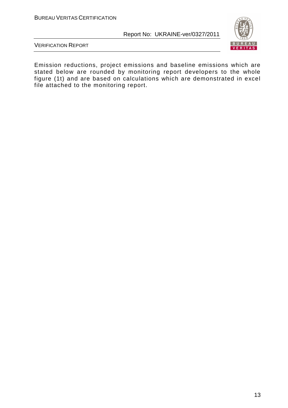

VERIFICATION REPORT

Emission reductions, project emissions and baseline emissions which are stated below are rounded by monitoring report developers to the whole figure (1t) and are based on calculations which are demonstrated in excel file attached to the monitoring report.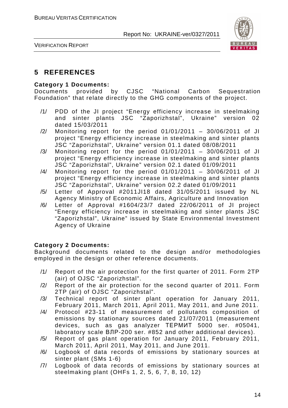

VERIFICATION REPORT

#### **5 REFERENCES**

#### **Category 1 Documents:**

Documents provided by CJSC "National Carbon Sequestration Foundation" that relate directly to the GHG components of the project.

- /1/ PDD of the JI project "Energy efficiency increase in steelmaking and sinter plants JSC "Zaporizhstal", Ukraine" version 02 dated 15/03/2011
- /2/ Monitoring report for the period 01/01/2011 30/06/2011 of JI project "Energy efficiency increase in steelmaking and sinter plants JSC "Zaporizhstal", Ukraine" version 01.1 dated 08/08/2011
- /3/ Monitoring report for the period 01/01/2011 30/06/2011 of JI project "Energy efficiency increase in steelmaking and sinter plants JSC "Zaporizhstal", Ukraine" version 02.1 dated 01/09/2011
- /4/ Monitoring report for the period 01/01/2011 30/06/2011 of JI project "Energy efficiency increase in steelmaking and sinter plants JSC "Zaporizhstal", Ukraine" version 02.2 dated 01/09/2011
- /5/ Letter of Approval #2011JI18 dated 31/05/2011 issued by NL Agency Ministry of Economic Affairs, Agriculture and Innovation
- /6/ Letter of Approval #1604/23/7 dated 22/06/2011 of JI project "Energy efficiency increase in steelmaking and sinter plants JSC "Zaporizhstal", Ukraine" issued by State Environmental Investment Agency of Ukraine

#### **Category 2 Documents:**

Background documents related to the design and/or methodologies employed in the design or other reference documents.

- /1/ Report of the air protection for the first quarter of 2011. Form 2TP (air) of OJSC "Zaporizhstal".
- /2/ Report of the air protection for the second quarter of 2011. Form 2TP (air) of OJSC "Zaporizhstal".
- /3/ Technical report of sinter plant operation for January 2011, February 2011, March 2011, April 2011, May 2011, and June 2011.
- /4/ Protocol #23-11 of measurement of pollutants composition of emissions by stationary sources dated 21/07/2011 (measurement devices, such as gas analyzer ТЕРМИТ 5000 ser. #05041, laboratory scale ВЛР-200 ser. #852 and other additional devices).
- /5/ Report of gas plant operation for January 2011, February 2011, March 2011, April 2011, May 2011, and June 2011.
- /6/ Logbook of data records of emissions by stationary sources at sinter plant (SMs 1-6)
- /7/ Logbook of data records of emissions by stationary sources at steelmaking plant (OHFs 1, 2, 5, 6, 7, 8, 10, 12)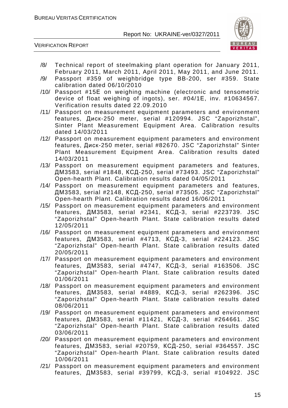

- /8/ Technical report of steelmaking plant operation for January 2011, February 2011, March 2011, April 2011, May 2011, and June 2011.
- /9/ Passport #359 of weighbridge type BB-200, ser #359. State calibration dated 06/10/2010
- /10/ Passport #15Е on weighing machine (electronic and tensometric device of float weighing of ingots), ser. #04/1Е, inv. #10634567. Verification results dated 22.09.2010
- /11/ Passport on measurement equipment parameters and environment features, Диск-250 meter, serial #120994. JSC "Zaporizhstal", Sinter Plant Measurement Equipment Area. Calibration results dated 14/03/2011
- /12/ Passport on measurement equipment parameters and environment features, Диск-250 meter, serial #82670. JSC "Zaporizhstal" Sinter Plant Measurement Equipment Area. Calibration results dated 14/03/2011
- /13/ Passport on measurement equipment parameters and features, ДМ3583, serial #1848, КСД-250, serial #73493. JSC "Zaporizhstal" Open-hearth Plant. Calibration results dated 04/05/2011
- /14/ Passport on measurement equipment parameters and features, ДМ3583, serial #2148, КСД-250, serial #73505. JSC "Zaporizhstal" Open-hearth Plant. Calibration results dated 16/06/2011
- /15/ Passport on measurement equipment parameters and environment features, ДМ3583, serial #2341, КСД-3, serial #223739. JSC "Zaporizhstal" Open-hearth Plant. State calibration results dated 12/05/2011
- /16/ Passport on measurement equipment parameters and environment features, ДМ3583, serial #4713, КСД-3, serial #224123. JSC "Zaporizhstal" Open-hearth Plant. State calibration results dated 20/05/2011
- /17/ Passport on measurement equipment parameters and environment features, ДМ3583, serial #4747, КСД-3, serial #163506. JSC "Zaporizhstal" Open-hearth Plant. State calibration results dated 01/06/2011
- /18/ Passport on measurement equipment parameters and environment features, ДМ3583, serial #4889, КСД-3, serial #262396. JSC "Zaporizhstal" Open-hearth Plant. State calibration results dated 08/06/2011
- /19/ Passport on measurement equipment parameters and environment features, ДМ3583, serial #11421, КСД-3, serial #264661. JSC "Zaporizhstal" Open-hearth Plant. State calibration results dated 03/06/2011
- /20/ Passport on measurement equipment parameters and environment features, ДМ3583, serial #20759, КСД-250, serial #364557. JSC "Zaporizhstal" Open-hearth Plant. State calibration results dated 10/06/2011
- /21/ Passport on measurement equipment parameters and environment features, ДМ3583, serial #39799, КСД-3, serial #104922. JSC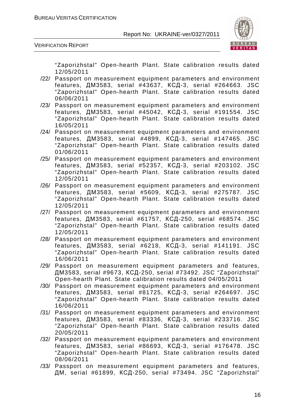

VERIFICATION REPORT

"Zaporizhstal" Open-hearth Plant. State calibration results dated 12/05/2011

- /22/ Passport on measurement equipment parameters and environment features, ДМ3583, serial #43637, КСД-3, serial #264663. JSC "Zaporizhstal" Open-hearth Plant. State calibration results dated 06/06/2011
- /23/ Passport on measurement equipment parameters and environment features, ДМ3583, serial #45042, КСД-3, serial #191554. JSC "Zaporizhstal" Open-hearth Plant. State calibration results dated 16/05/2011
- /24/ Passport on measurement equipment parameters and environment features, ДМ3583, serial #4899, КСД-3, serial #147465. JSC "Zaporizhstal" Open-hearth Plant. State calibration results dated 01/06/2011
- /25/ Passport on measurement equipment parameters and environment features, ДМ3583, serial #52357, КСД-3, serial #203102. JSC "Zaporizhstal" Open-hearth Plant. State calibration results dated 12/05/2011
- /26/ Passport on measurement equipment parameters and environment features, ДМ3583, serial #5609, КСД-3, serial #275787. JSC "Zaporizhstal" Open-hearth Plant. State calibration results dated 12/05/2011
- /27/ Passport on measurement equipment parameters and environment features, ДМ3583, serial #61757, КСД-250, serial #68574. JSC "Zaporizhstal" Open-hearth Plant. State calibration results dated 12/05/2011
- /28/ Passport on measurement equipment parameters and environment features, ДМ3583, serial #6218, КСД-3, serial #141191. JSC "Zaporizhstal" Open-hearth Plant. State calibration results dated 16/06/2011
- /29/ Passport on measurement equipment parameters and features, ДМ3583, serial #9673, КСД-250, serial #73492. JSC "Zaporizhstal" Open-hearth Plant. State calibration results dated 04/05/2011
- /30/ Passport on measurement equipment parameters and environment features, ДМ3583, serial #81725, КСД-3, serial #264697. JSC "Zaporizhstal" Open-hearth Plant. State calibration results dated 16/06/2011
- /31/ Passport on measurement equipment parameters and environment features, ДМ3583, serial #83336, КСД-3, serial #233716. JSC "Zaporizhstal" Open-hearth Plant. State calibration results dated 20/05/2011
- /32/ Passport on measurement equipment parameters and environment features, ДМ3583, serial #86693, КСД-3, serial #176478. JSC "Zaporizhstal" Open-hearth Plant. State calibration results dated 08/06/2011
- /33/ Passport on measurement equipment parameters and features, ДМ, serial #61899, КСД-250, serial #73494. JSC "Zaporizhstal"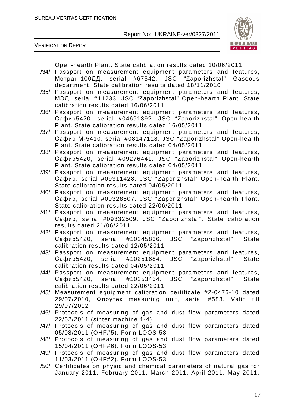

VERIFICATION REPORT

Open-hearth Plant. State calibration results dated 10/06/2011

- /34/ Passport on measurement equipment parameters and features, Метран-100ДД, serial #67542. JSC "Zaporizhstal" Gaseous department. State calibration results dated 18/11/2010
- /35/ Passport on measurement equipment parameters and features, МЭД, serial #11233. JSC "Zaporizhstal" Open-hearth Plant. State calibration results dated 16/06/2011
- /36/ Passport on measurement equipment parameters and features, Сафир5420, serial #04691392. JSC "Zaporizhstal" Open-hearth Plant. State calibration results dated 16/05/2011
- /37/ Passport on measurement equipment parameters and features, Сафир М-5410, serial #08147118. JSC "Zaporizhstal" Open-hearth Plant. State calibration results dated 04/05/2011
- /38/ Passport on measurement equipment parameters and features, Сафир5420, serial #09276441. JSC "Zaporizhstal" Open-hearth Plant. State calibration results dated 04/05/2011
- /39/ Passport on measurement equipment parameters and features, Сафир, serial #09311428. JSC "Zaporizhstal" Open-hearth Plant. State calibration results dated 04/05/2011
- /40/ Passport on measurement equipment parameters and features, Сафир, serial #09328507. JSC "Zaporizhstal" Open-hearth Plant. State calibration results dated 22/06/2011
- /41/ Passport on measurement equipment parameters and features, Сафир, serial #09332509. JSC "Zaporizhstal". State calibration results dated 21/06/2011
- /42/ Passport on measurement equipment parameters and features, Сафир5420, serial #10245836. JSC "Zaporizhstal". State calibration results dated 12/05/2011
- /43/ Passport on measurement equipment parameters and features, Сафир5420, serial #10251684. JSC "Zaporizhstal". State calibration results dated 04/05/2011
- /44/ Passport on measurement equipment parameters and features, Сафир5420, serial #10253454. JSC "Zaporizhstal". State calibration results dated 22/06/2011
- /45/ Measurement equipment calibration certificate #2-0476-10 dated 29/07/2010, Флоутек measuring unit, serial #583. Valid till 29/07/2012
- /46/ Protocols of measuring of gas and dust flow parameters dated 22/02/2011 (sinter machine 1-4)
- /47/ Protocols of measuring of gas and dust flow parameters dated 05/08/2011 (OHF#5). Form LOOS-53
- /48/ Protocols of measuring of gas and dust flow parameters dated 15/04/2011 (OHF#6). Form LOOS-53
- /49/ Protocols of measuring of gas and dust flow parameters dated 11/03/2011 (OHF#2). Form LOOS-53
- /50/ Certificates on physic and chemical parameters of natural gas for January 2011, February 2011, March 2011, April 2011, May 2011,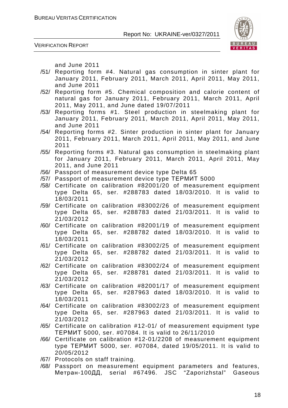

VERIFICATION REPORT

and June 2011

- /51/ Reporting form #4. Natural gas consumption in sinter plant for January 2011, February 2011, March 2011, April 2011, May 2011, and June 2011
- /52/ Reporting form #5. Chemical composition and calorie content of natural gas for January 2011, February 2011, March 2011, April 2011, May 2011, and June dated 19/07/2011
- /53/ Reporting forms #1. Steel production in steelmaking plant for January 2011, February 2011, March 2011, April 2011, May 2011, and June 2011
- /54/ Reporting forms #2. Sinter production in sinter plant for January 2011, February 2011, March 2011, April 2011, May 2011, and June 2011
- /55/ Reporting forms #3. Natural gas consumption in steelmaking plant for January 2011, February 2011, March 2011, April 2011, May 2011, and June 2011
- /56/ Passport of measurement device type Delta 65
- /57/ Passport of measurement device type ТЕРМИТ 5000
- /58/ Certificate on calibration #82001/20 of measurement equipment type Delta 65, ser. #288783 dated 18/03/2010. It is valid to 18/03/2011
- /59/ Certificate on calibration #83002/26 of measurement equipment type Delta 65, ser. #288783 dated 21/03/2011. It is valid to 21/03/2012
- /60/ Certificate on calibration #82001/19 of measurement equipment type Delta 65, ser. #288782 dated 18/03/2010. It is valid to 18/03/2011
- /61/ Certificate on calibration #83002/25 of measurement equipment type Delta 65, ser. #288782 dated 21/03/2011. It is valid to 21/03/2012
- /62/ Certificate on calibration #83002/24 of measurement equipment type Delta 65, ser. #288781 dated 21/03/2011. It is valid to 21/03/2012
- /63/ Certificate on calibration #82001/17 of measurement equipment type Delta 65, ser. #287963 dated 18/03/2010. It is valid to 18/03/2011
- /64/ Certificate on calibration #83002/23 of measurement equipment type Delta 65, ser. #287963 dated 21/03/2011. It is valid to 21/03/2012
- /65/ Certificate on calibration #12-01/ of measurement equipment type ТЕРМИТ 5000, ser. #07084. It is valid to 26/11/2010
- /66/ Certificate on calibration #12-01/2208 of measurement equipment type ТЕРМИТ 5000, ser. #07084, dated 19/05/2011. It is valid to 20/05/2012
- /67/ Protocols on staff training.
- /68/ Passport on measurement equipment parameters and features, Метран-100ДД, serial #67496. JSC "Zaporizhstal" Gaseous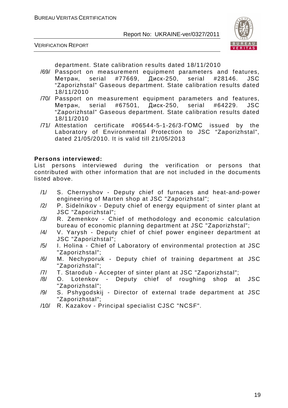



department. State calibration results dated 18/11/2010

- /69/ Passport on measurement equipment parameters and features, Метран, serial #77669, Диск-250, serial #28146. JSC "Zaporizhstal" Gaseous department. State calibration results dated 18/11/2010
- /70/ Passport on measurement equipment parameters and features, Метран, serial #67501, Диск-250, serial #64229. JSC "Zaporizhstal" Gaseous department. State calibration results dated 18/11/2010
- /71/ Attestation certificate #06544-5-1-26/3-ГОМС issued by the Laboratory of Environmental Protection to JSC "Zaporizhstal", dated 21/05/2010. It is valid till 21/05/2013

#### **Persons interviewed:**

List persons interviewed during the verification or persons that contributed with other information that are not included in the documents listed above.

- /1/ S. Chernyshov Deputy chief of furnaces and heat-and-power engineering of Marten shop at JSC "Zaporizhstal";
- /2/ P. Sidelnikov Deputy chief of energy equipment of sinter plant at JSC "Zaporizhstal";
- /3/ R. Zemenkov Chief of methodology and economic calculation bureau of economic planning department at JSC "Zaporizhstal";
- /4/ V. Yarysh Deputy chief of chief power engineer department at JSC "Zaporizhstal";
- /5/ I. Holina Chief of Laboratory of environmental protection at JSC "Zaporizhstal";
- /6/ M. Nechyporuk Deputy chief of training department at JSC "Zaporizhstal";
- /7/ T. Starodub Accepter of sinter plant at JSC "Zaporizhstal";
- /8/ O. Lotenkov Deputy chief of roughing shop at JSC "Zaporizhstal";
- /9/ S. Pshygodskij Director of external trade department at JSC "Zaporizhstal";
- /10/ R. Kazakov Principal specialist CJSC "NCSF".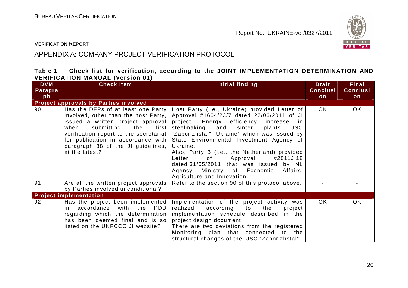

VERIFICATION REPORT

# APPENDIX A: COMPANY PROJECT VERIFICATION PROTOCOL

#### **Table 1 Check list for verification, according to the JOINT IMPLEMENTATION DETERMINATION AND VERIFICATION MANUAL (Version 01)**

| <b>DVM</b><br>Paragra<br>ph | <b>Check Item</b>                                                                                                                                                                                                                                                                               | Initial finding                                                                                                                                                                                                                                                                                                                                                                                                                                                                                                                                                                                                               | <b>Draft</b><br><b>Conclusi</b><br>on | <b>Final</b><br><b>Conclusi</b><br>on |
|-----------------------------|-------------------------------------------------------------------------------------------------------------------------------------------------------------------------------------------------------------------------------------------------------------------------------------------------|-------------------------------------------------------------------------------------------------------------------------------------------------------------------------------------------------------------------------------------------------------------------------------------------------------------------------------------------------------------------------------------------------------------------------------------------------------------------------------------------------------------------------------------------------------------------------------------------------------------------------------|---------------------------------------|---------------------------------------|
|                             | Project approvals by Parties involved                                                                                                                                                                                                                                                           |                                                                                                                                                                                                                                                                                                                                                                                                                                                                                                                                                                                                                               |                                       |                                       |
| 90                          | Has the DFPs of at least one Party<br>involved, other than the host Party,<br>issued a written project approval<br>submitting<br>when<br>the<br>first<br>verification report to the secretariat  <br>for publication in accordance with<br>paragraph 38 of the JI guidelines,<br>at the latest? | Host Party (i.e., Ukraine) provided Letter of<br>Approval #1604/23/7 dated 22/06/2011 of JI<br>project "Energy efficiency increase in<br>steelmaking and<br>sinter<br><b>JSC</b><br>plants<br>"Zaporizhstal", Ukraine" which was issued by<br>State Environmental Investment Agency of<br>Ukraine.<br>Also, Party B (i.e., the Netherland) provided<br>Approval<br>#2011JI18<br>Letter<br>of the set of the set of the set of the set of the set of the set of the set of the set of the set of the set o<br>dated 31/05/2011 that was issued by NL<br>Agency Ministry of Economic<br>Affairs,<br>Agriculture and Innovation. | OK.                                   | OK.                                   |
| 91                          | Are all the written project approvals<br>by Parties involved unconditional?                                                                                                                                                                                                                     | Refer to the section 90 of this protocol above.                                                                                                                                                                                                                                                                                                                                                                                                                                                                                                                                                                               |                                       |                                       |
|                             | <b>Project implementation</b>                                                                                                                                                                                                                                                                   |                                                                                                                                                                                                                                                                                                                                                                                                                                                                                                                                                                                                                               |                                       |                                       |
| 92                          | Has the project been implemented<br>in accordance<br>with the PDD<br>regarding which the determination<br>has been deemed final and is so<br>listed on the UNFCCC JI website?                                                                                                                   | Implementation of the project activity was<br>realized<br>according to<br>the<br>project<br>implementation schedule described in the<br>project design document.<br>There are two deviations from the registered<br>Monitoring plan that connected to the<br>structural changes of the .JSC "Zaporizhstal".                                                                                                                                                                                                                                                                                                                   | OK.                                   | <b>OK</b>                             |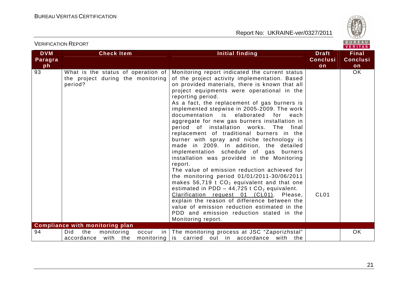

| <b>DVM</b><br>Paragra<br>ph | <b>Check Item</b>                                                                                                              | <b>Initial finding</b>                                                                                                                                                                                                                                                                                                                                                                                                                                                                                                                                                                                                                                                                                                                                                                                                                                                                                                                                                                                                                                                                                                    | <b>Draft</b><br><b>Conclusi</b><br>on | <b>Final</b><br><b>Conclusi</b><br>on |
|-----------------------------|--------------------------------------------------------------------------------------------------------------------------------|---------------------------------------------------------------------------------------------------------------------------------------------------------------------------------------------------------------------------------------------------------------------------------------------------------------------------------------------------------------------------------------------------------------------------------------------------------------------------------------------------------------------------------------------------------------------------------------------------------------------------------------------------------------------------------------------------------------------------------------------------------------------------------------------------------------------------------------------------------------------------------------------------------------------------------------------------------------------------------------------------------------------------------------------------------------------------------------------------------------------------|---------------------------------------|---------------------------------------|
| 93                          | What is the status of operation of<br>the project during the monitoring<br>period?                                             | Monitoring report indicated the current status<br>of the project activity implementation. Based<br>on provided materials, there is known that all<br>project equipments were operational in the<br>reporting period.<br>As a fact, the replacement of gas burners is<br>implemented stepwise in 2005-2009. The work<br>documentation is elaborated<br>for each<br>aggregate for new gas burners installation in<br>period of installation works.<br>The<br>final<br>replacement of traditional burners in the<br>burner with spray and niche technology is<br>made in 2009. In addition, the detailed<br>implementation schedule of gas burners<br>installation was provided in the Monitoring<br>report.<br>The value of emission reduction achieved for<br>the monitoring period 01/01/2011-30/06/2011<br>makes $56,719$ t $CO2$ equivalent and that one<br>estimated in PDD - 44,725 t $CO2$ equivalent.<br>Clarification request 01 (CL01). Please,<br>explain the reason of difference between the<br>value of emission reduction estimated in the<br>PDD and emission reduction stated in the<br>Monitoring report. | CL <sub>01</sub>                      | OK.                                   |
| 94                          | <b>Compliance with monitoring plan</b><br>monitoring<br>Did<br>the<br>occur<br>in<br>with the<br>accordance<br>$monitoring$ is | The monitoring process at JSC "Zaporizhstal"<br>carried out in accordance with the                                                                                                                                                                                                                                                                                                                                                                                                                                                                                                                                                                                                                                                                                                                                                                                                                                                                                                                                                                                                                                        |                                       | OK                                    |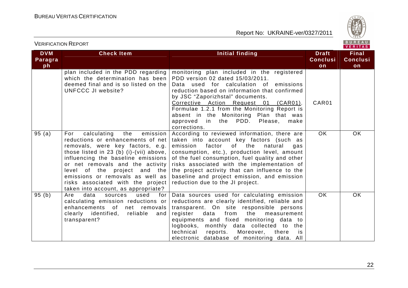

| <b>DVM</b> | <b>Check Item</b>                                                                                                                                                                                                                                                                                                                                                                       | <b>Initial finding</b>                                                                                                                                                                                                                                                                                                                                                                                                        | <b>Draft</b>    | <b>Final</b>    |
|------------|-----------------------------------------------------------------------------------------------------------------------------------------------------------------------------------------------------------------------------------------------------------------------------------------------------------------------------------------------------------------------------------------|-------------------------------------------------------------------------------------------------------------------------------------------------------------------------------------------------------------------------------------------------------------------------------------------------------------------------------------------------------------------------------------------------------------------------------|-----------------|-----------------|
| Paragra    |                                                                                                                                                                                                                                                                                                                                                                                         |                                                                                                                                                                                                                                                                                                                                                                                                                               | <b>Conclusi</b> | <b>Conclusi</b> |
| ph         |                                                                                                                                                                                                                                                                                                                                                                                         |                                                                                                                                                                                                                                                                                                                                                                                                                               | on              | on              |
|            | plan included in the PDD regarding<br>which the determination has been<br>deemed final and is so listed on the<br>UNFCCC JI website?                                                                                                                                                                                                                                                    | monitoring plan included in the registered<br>PDD version 02 dated 15/03/2011.<br>Data used for calculation of emissions<br>reduction based on information that confirmed<br>by JSC "Zaporizhstal" documents.<br>Corrective Action Request 01 (CAR01).<br>Formulae 1.2.1 from the Monitoring Report is<br>absent in the Monitoring Plan that was<br>approved in the PDD. Please, make<br>corrections.                         | CAR01           |                 |
| 95(a)      | For<br>calculating<br>the<br>emission<br>reductions or enhancements of net<br>removals, were key factors, e.g.<br>those listed in 23 (b) (i)-(vii) above, $ $<br>influencing the baseline emissions<br>or net removals and the activity<br>level of the project and the<br>emissions or removals as well as<br>risks associated with the project<br>taken into account, as appropriate? | According to reviewed information, there are<br>taken into account key factors (such as<br>emission factor<br>of the<br>natural<br>gas<br>consumption, etc.), production level, amount<br>of the fuel consumption, fuel quality and other<br>risks associated with the implementation of<br>the project activity that can influence to the<br>baseline and project emission, and emission<br>reduction due to the JI project. | OK.             | OK.             |
| 95(b)      | data<br>Are<br>sources<br>used<br>for<br>calculating emission reductions or<br>enhancements of net removals<br>clearly identified, reliable and<br>transparent?                                                                                                                                                                                                                         | Data sources used for calculating emission<br>reductions are clearly identified, reliable and<br>transparent. On site responsible persons<br>from<br>register<br>data<br>the<br>measurement<br>equipments and fixed monitoring data to<br>logbooks, monthly data collected to the<br>technical<br>reports. Moreover,<br>there<br>is i<br>electronic database of monitoring data. All                                          | $\overline{OK}$ | OK.             |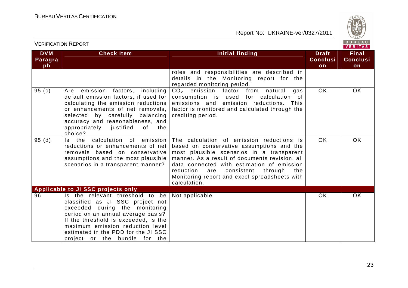

| <b>DVM</b> | <b>Check Item</b>                                                        | Initial finding                                  | <b>Draft</b>    | <b>Final</b>    |
|------------|--------------------------------------------------------------------------|--------------------------------------------------|-----------------|-----------------|
| Paragra    |                                                                          |                                                  | <b>Conclusi</b> | <b>Conclusi</b> |
| ph         |                                                                          |                                                  | on              | on              |
|            |                                                                          | roles and responsibilities are described in      |                 |                 |
|            |                                                                          | details in the Monitoring report for the         |                 |                 |
|            |                                                                          | regarded monitoring period.                      |                 |                 |
| 95(c)      | Are emission<br>factors,<br>including                                    | $CO2$ emission factor from natural<br>gas        | <b>OK</b>       | <b>OK</b>       |
|            | default emission factors, if used for                                    | consumption is used for calculation of           |                 |                 |
|            | calculating the emission reductions                                      | emissions and emission reductions.<br>This       |                 |                 |
|            | or enhancements of net removals,                                         | factor is monitored and calculated through the   |                 |                 |
|            | selected by carefully balancing                                          | crediting period.                                |                 |                 |
|            | accuracy and reasonableness, and<br>appropriately justified<br>of<br>the |                                                  |                 |                 |
|            | choice?                                                                  |                                                  |                 |                 |
| 95(d)      | Is the calculation of emission                                           | The calculation of emission reductions is        | <b>OK</b>       | <b>OK</b>       |
|            | reductions or enhancements of net                                        | based on conservative assumptions and the        |                 |                 |
|            | removals based on conservative                                           | most plausible scenarios in a transparent        |                 |                 |
|            | assumptions and the most plausible                                       | manner. As a result of documents revision, all   |                 |                 |
|            | scenarios in a transparent manner?                                       | data connected with estimation of emission       |                 |                 |
|            |                                                                          | reduction<br>consistent<br>through<br>the<br>are |                 |                 |
|            |                                                                          | Monitoring report and excel spreadsheets with    |                 |                 |
|            |                                                                          | calculation.                                     |                 |                 |
|            | Applicable to JI SSC projects only                                       |                                                  |                 |                 |
| 96         | Is the relevant threshold to be                                          | Not applicable                                   | OK.             | <b>OK</b>       |
|            | classified as JI SSC project not                                         |                                                  |                 |                 |
|            | exceeded during the monitoring                                           |                                                  |                 |                 |
|            | period on an annual average basis?                                       |                                                  |                 |                 |
|            | If the threshold is exceeded, is the                                     |                                                  |                 |                 |
|            | maximum emission reduction level                                         |                                                  |                 |                 |
|            | estimated in the PDD for the JI SSC                                      |                                                  |                 |                 |
|            | project or the bundle for the                                            |                                                  |                 |                 |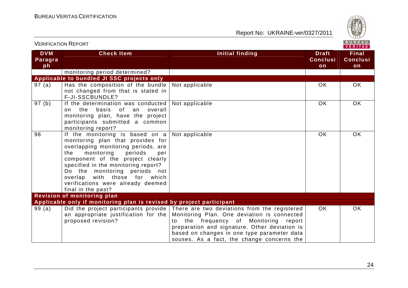

| <b>VERIFICATION REPORT</b>         |                                                                                                                                                                                                                                                                                                                                                           |                                                                                                                                                                                                                                                                                       |                                       | BUREAU<br>VERITAS                     |
|------------------------------------|-----------------------------------------------------------------------------------------------------------------------------------------------------------------------------------------------------------------------------------------------------------------------------------------------------------------------------------------------------------|---------------------------------------------------------------------------------------------------------------------------------------------------------------------------------------------------------------------------------------------------------------------------------------|---------------------------------------|---------------------------------------|
| <b>DVM</b><br><b>Paragra</b><br>ph | <b>Check Item</b>                                                                                                                                                                                                                                                                                                                                         | <b>Initial finding</b>                                                                                                                                                                                                                                                                | <b>Draft</b><br><b>Conclusi</b><br>on | <b>Final</b><br><b>Conclusi</b><br>on |
|                                    | monitoring period determined?                                                                                                                                                                                                                                                                                                                             |                                                                                                                                                                                                                                                                                       |                                       |                                       |
|                                    | Applicable to bundled JI SSC projects only                                                                                                                                                                                                                                                                                                                |                                                                                                                                                                                                                                                                                       |                                       |                                       |
| 97(a)                              | Has the composition of the bundle<br>not changed from that is stated in<br>F-JI-SSCBUNDLE?                                                                                                                                                                                                                                                                | Not applicable                                                                                                                                                                                                                                                                        | <b>OK</b>                             | <b>OK</b>                             |
| 97 (b)                             | If the determination was conducted<br>basis<br>of an<br>overall<br>the<br>on<br>monitoring plan, have the project<br>participants submitted a common<br>monitoring report?                                                                                                                                                                                | Not applicable                                                                                                                                                                                                                                                                        | <b>OK</b>                             | <b>OK</b>                             |
| 98                                 | If the monitoring is based on a<br>monitoring plan that provides for<br>overlapping monitoring periods, are<br>monitoring<br>the<br>periods<br>per<br>component of the project clearly<br>specified in the monitoring report?<br>Do the monitoring periods not<br>overlap with those for which<br>verifications were already deemed<br>final in the past? | Not applicable                                                                                                                                                                                                                                                                        | <b>OK</b>                             | <b>OK</b>                             |
|                                    | Revision of monitoring plan                                                                                                                                                                                                                                                                                                                               |                                                                                                                                                                                                                                                                                       |                                       |                                       |
|                                    | Applicable only if monitoring plan is revised by project participant                                                                                                                                                                                                                                                                                      |                                                                                                                                                                                                                                                                                       |                                       |                                       |
| 99(a)                              | Did the project participants provide<br>an appropriate justification for the<br>proposed revision?                                                                                                                                                                                                                                                        | There are two deviations from the registered<br>Monitoring Plan. One deviation is connected<br>the frequency of Monitoring report<br>t∩<br>preparation and signature. Other deviation is<br>based on changes in one type parameter data<br>souses. As a fact, the change concerns the | OK.                                   | <b>OK</b>                             |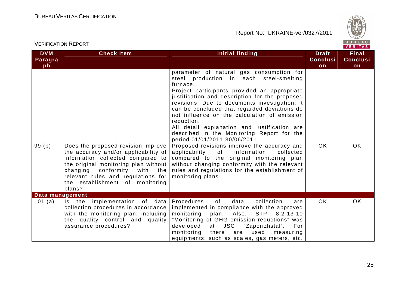

|                             |                                                                                                                                                                                         |                                                                                                                                                                                                                                                                                                                                                                                                                                                                                                                                                                                                                                                                                                                                                  |                                       | VERIIAS                               |
|-----------------------------|-----------------------------------------------------------------------------------------------------------------------------------------------------------------------------------------|--------------------------------------------------------------------------------------------------------------------------------------------------------------------------------------------------------------------------------------------------------------------------------------------------------------------------------------------------------------------------------------------------------------------------------------------------------------------------------------------------------------------------------------------------------------------------------------------------------------------------------------------------------------------------------------------------------------------------------------------------|---------------------------------------|---------------------------------------|
| <b>DVM</b><br>Paragra<br>ph | <b>Check Item</b>                                                                                                                                                                       | Initial finding                                                                                                                                                                                                                                                                                                                                                                                                                                                                                                                                                                                                                                                                                                                                  | <b>Draft</b><br><b>Conclusi</b><br>on | <b>Final</b><br><b>Conclusi</b><br>on |
| 99(b)                       | Does the proposed revision improve<br>the accuracy and/or applicability of<br>information collected compared to<br>the original monitoring plan without<br>changing conformity with the | parameter of natural gas consumption for<br>steel production in each steel-smelting<br>furnace.<br>Project participants provided an appropriate<br>justification and description for the proposed<br>revisions. Due to documents investigation, it<br>can be concluded that regarded deviations do<br>not influence on the calculation of emission<br>reduction.<br>All detail explanation and justification are<br>described in the Monitoring Report for the<br>period 01/01/2011-30/06/2011.<br>Proposed revisions improve the accuracy and<br>information<br>applicability<br>of<br>collected<br>compared to the original monitoring plan<br>without changing conformity with the relevant<br>rules and regulations for the establishment of | <b>OK</b>                             | <b>OK</b>                             |
|                             | relevant rules and regulations for<br>the establishment of monitoring<br>plans?                                                                                                         | monitoring plans.                                                                                                                                                                                                                                                                                                                                                                                                                                                                                                                                                                                                                                                                                                                                |                                       |                                       |
| Data management             |                                                                                                                                                                                         |                                                                                                                                                                                                                                                                                                                                                                                                                                                                                                                                                                                                                                                                                                                                                  |                                       |                                       |
| 101 (a)                     | Is the implementation of data<br>collection procedures in accordance<br>with the monitoring plan, including<br>the quality control and quality<br>assurance procedures?                 | Procedures<br>0f<br>data<br>collection<br>are<br>implemented in compliance with the approved<br>monitoring<br>plan.<br>Also,<br>STP 8.2-13-10<br>"Monitoring of GHG emission reductions" was<br>developed<br>at JSC "Zaporizhstal".<br>For<br>monitoring<br>there<br>used<br>measuring<br>are<br>equipments, such as scales, gas meters, etc.                                                                                                                                                                                                                                                                                                                                                                                                    | <b>OK</b>                             | <b>OK</b>                             |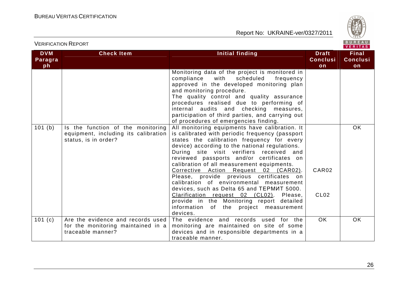

| <b>DVM</b>           | <b>Check Item</b>                                                                                 | <b>Initial finding</b>                                                                                                                                                                                                                                                                                                                                                                                                                                                                                                                                                                                                                                                    | <b>Draft</b>              | <b>Final</b>    |
|----------------------|---------------------------------------------------------------------------------------------------|---------------------------------------------------------------------------------------------------------------------------------------------------------------------------------------------------------------------------------------------------------------------------------------------------------------------------------------------------------------------------------------------------------------------------------------------------------------------------------------------------------------------------------------------------------------------------------------------------------------------------------------------------------------------------|---------------------------|-----------------|
| Paragra              |                                                                                                   |                                                                                                                                                                                                                                                                                                                                                                                                                                                                                                                                                                                                                                                                           | <b>Conclusi</b>           | <b>Conclusi</b> |
| ph                   |                                                                                                   |                                                                                                                                                                                                                                                                                                                                                                                                                                                                                                                                                                                                                                                                           | on                        | on              |
|                      |                                                                                                   | Monitoring data of the project is monitored in<br>compliance<br>with<br>scheduled<br>frequency<br>approved in the developed monitoring plan<br>and monitoring procedure.<br>The quality control and quality assurance<br>procedures realised due to performing of<br>internal audits and checking measures,<br>participation of third parties, and carrying out<br>of procedures of emergencies finding.                                                                                                                                                                                                                                                                  |                           |                 |
| 101(b)               | Is the function of the monitoring<br>equipment, including its calibration<br>status, is in order? | All monitoring equipments have calibration. It<br>is calibrated with periodic frequency (passport<br>states the calibration frequency for every<br>device) according to the national regulations.<br>During site visit verifiers received and<br>reviewed passports and/or certificates on<br>calibration of all measurement equipments.<br>Corrective Action Request 02 (CAR02).<br>Please, provide previous certificates on<br>calibration of environmental measurement<br>devices, such as Delta 65 and TEPMUT 5000.<br>Clarification request 02 (CL02).<br>Please,<br>provide in the Monitoring report detailed<br>information of the project measurement<br>devices. | CAR02<br>CL <sub>02</sub> | OK.             |
| $\overline{1}01$ (c) | Are the evidence and records used<br>for the monitoring maintained in a<br>traceable manner?      | The evidence and records used for the<br>monitoring are maintained on site of some<br>devices and in responsible departments in a<br>traceable manner.                                                                                                                                                                                                                                                                                                                                                                                                                                                                                                                    | <b>OK</b>                 | OK.             |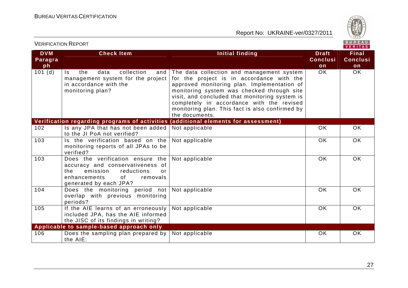

|                             | <b>VERIFICATION REPORT</b>                                                                                                                                              |                                                                                                                                                                                                                                                                                                                                                         |                                       | BUREAU<br><b>VERITAS</b>              |
|-----------------------------|-------------------------------------------------------------------------------------------------------------------------------------------------------------------------|---------------------------------------------------------------------------------------------------------------------------------------------------------------------------------------------------------------------------------------------------------------------------------------------------------------------------------------------------------|---------------------------------------|---------------------------------------|
| <b>DVM</b><br>Paragra<br>ph | <b>Check Item</b>                                                                                                                                                       | <b>Initial finding</b>                                                                                                                                                                                                                                                                                                                                  | <b>Draft</b><br><b>Conclusi</b><br>on | <b>Final</b><br><b>Conclusi</b><br>on |
| $101$ (d)                   | collection<br>data<br>Is.<br>the<br>and<br>management system for the project<br>in accordance with the<br>monitoring plan?                                              | The data collection and management system<br>for the project is in accordance with the<br>approved monitoring plan. Implementation of<br>monitoring system was checked through site<br>visit, and concluded that monitoring system is<br>completely in accordance with the revised<br>monitoring plan. This fact is also confirmed by<br>the documents. | OK.                                   | <b>OK</b>                             |
|                             | Verification regarding programs of activities                                                                                                                           | (additional elements for assessment)                                                                                                                                                                                                                                                                                                                    |                                       |                                       |
| 102                         | Is any JPA that has not been added<br>to the JI PoA not verified?                                                                                                       | Not applicable                                                                                                                                                                                                                                                                                                                                          | <b>OK</b>                             | $\overline{OK}$                       |
| 103                         | Is the verification based on the<br>monitoring reports of all JPAs to be<br>verified?                                                                                   | Not applicable                                                                                                                                                                                                                                                                                                                                          | OK                                    | <b>OK</b>                             |
| 103                         | Does the verification ensure the<br>accuracy and conservativeness of<br>emission<br>the<br>reductions<br>or<br>of<br>enhancements<br>removals<br>generated by each JPA? | Not applicable                                                                                                                                                                                                                                                                                                                                          | <b>OK</b>                             | <b>OK</b>                             |
| 104                         | Does the monitoring period not<br>overlap with previous monitoring<br>periods?                                                                                          | Not applicable                                                                                                                                                                                                                                                                                                                                          | <b>OK</b>                             | <b>OK</b>                             |
| 105                         | If the AIE learns of an erroneously<br>included JPA, has the AIE informed<br>the JISC of its findings in writing?                                                       | Not applicable                                                                                                                                                                                                                                                                                                                                          | OK                                    | <b>OK</b>                             |
|                             | Applicable to sample-based approach only                                                                                                                                |                                                                                                                                                                                                                                                                                                                                                         |                                       |                                       |
| 106                         | Does the sampling plan prepared by<br>the AIE:                                                                                                                          | Not applicable                                                                                                                                                                                                                                                                                                                                          | OK                                    | <b>OK</b>                             |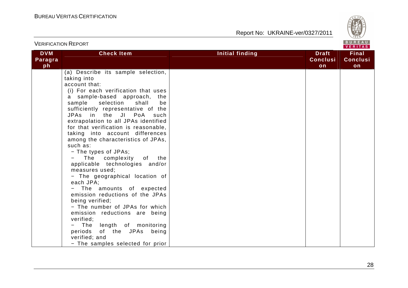

|                             | <b>VERIFICATION REPORT</b>                                                                                                                                                                                                                                                                                                                                                                                                                                                                                                                                                                                                                                                                                                                                                                                                                                     |                 | BUREAU<br>VERITAS                     |                                       |  |
|-----------------------------|----------------------------------------------------------------------------------------------------------------------------------------------------------------------------------------------------------------------------------------------------------------------------------------------------------------------------------------------------------------------------------------------------------------------------------------------------------------------------------------------------------------------------------------------------------------------------------------------------------------------------------------------------------------------------------------------------------------------------------------------------------------------------------------------------------------------------------------------------------------|-----------------|---------------------------------------|---------------------------------------|--|
| <b>DVM</b><br>Paragra<br>ph | <b>Check Item</b>                                                                                                                                                                                                                                                                                                                                                                                                                                                                                                                                                                                                                                                                                                                                                                                                                                              | Initial finding | <b>Draft</b><br><b>Conclusi</b><br>on | <b>Final</b><br><b>Conclusi</b><br>on |  |
|                             | (a) Describe its sample selection,<br>taking into<br>account that:<br>(i) For each verification that uses<br>a sample-based approach, the<br>sample selection<br>shall<br>be<br>sufficiently representative of the<br>JPAs in the JI PoA<br>such<br>extrapolation to all JPAs identified<br>for that verification is reasonable,<br>taking into account differences<br>among the characteristics of JPAs,<br>such as:<br>- The types of JPAs;<br>The complexity of the<br>applicable technologies and/or<br>measures used;<br>- The geographical location of<br>each JPA;<br>The amounts of expected<br>emission reductions of the JPAs<br>being verified;<br>- The number of JPAs for which<br>emission reductions are being<br>verified;<br>The<br>length of monitoring<br>of the JPAs being<br>periods<br>verified; and<br>- The samples selected for prior |                 |                                       |                                       |  |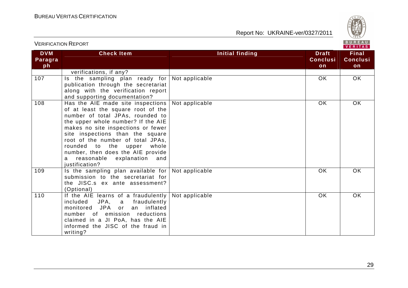

| <b>DVM</b> | <b>Check Item</b>                                          | Initial finding | <b>Draft</b>    | <b>Final</b>    |
|------------|------------------------------------------------------------|-----------------|-----------------|-----------------|
| Paragra    |                                                            |                 | <b>Conclusi</b> | <b>Conclusi</b> |
| ph         |                                                            |                 | on              | on              |
|            | verifications, if any?                                     |                 |                 |                 |
| 107        | Is the sampling plan ready for                             | Not applicable  | OK.             | OK              |
|            | publication through the secretariat                        |                 |                 |                 |
|            | along with the verification report                         |                 |                 |                 |
|            | and supporting documentation?                              |                 |                 |                 |
| 108        | Has the AIE made site inspections                          | Not applicable  | OK.             | OK              |
|            | of at least the square root of the                         |                 |                 |                 |
|            | number of total JPAs, rounded to                           |                 |                 |                 |
|            | the upper whole number? If the AIE                         |                 |                 |                 |
|            | makes no site inspections or fewer                         |                 |                 |                 |
|            | site inspections than the square                           |                 |                 |                 |
|            | root of the number of total JPAs,<br>rounded to            |                 |                 |                 |
|            | the<br>upper<br>whole<br>number, then does the AIE provide |                 |                 |                 |
|            | reasonable explanation<br>and<br>a                         |                 |                 |                 |
|            | justification?                                             |                 |                 |                 |
| 109        | Is the sampling plan available for                         | Not applicable  | OK.             | <b>OK</b>       |
|            | submission to the secretariat for                          |                 |                 |                 |
|            | the JISC.s ex ante assessment?                             |                 |                 |                 |
|            | (Optional)                                                 |                 |                 |                 |
| 110        | If the AIE learns of a fraudulently                        | Not applicable  | <b>OK</b>       | <b>OK</b>       |
|            | included JPA, a fraudulently                               |                 |                 |                 |
|            | monitored JPA or<br>an inflated                            |                 |                 |                 |
|            | number of emission reductions                              |                 |                 |                 |
|            | claimed in a JI PoA, has the AIE                           |                 |                 |                 |
|            | informed the JISC of the fraud in                          |                 |                 |                 |
|            | writing?                                                   |                 |                 |                 |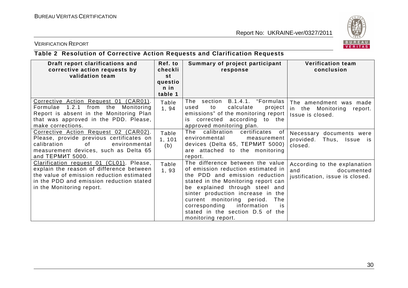

#### VERIFICATION REPORT

### **Table 2 Resolution of Corrective Action Requests and Clarification Requests**

| Draft report clarifications and<br>corrective action requests by<br>validation team                                                                                                                        | Ref. to<br>checkli<br>st<br>questio<br>n in<br>table 1 | Summary of project participant<br>response                                                                                                                                                                                                                                                                                                                  | <b>Verification team</b><br>conclusion                                               |
|------------------------------------------------------------------------------------------------------------------------------------------------------------------------------------------------------------|--------------------------------------------------------|-------------------------------------------------------------------------------------------------------------------------------------------------------------------------------------------------------------------------------------------------------------------------------------------------------------------------------------------------------------|--------------------------------------------------------------------------------------|
| Corrective Action Request 01 (CAR01).<br>Formulae 1.2.1<br>from<br>the<br>Monitoring<br>Report is absent in the Monitoring Plan<br>that was approved in the PDD. Please,<br>make corrections.              | Table<br>1, 94                                         | B.1.4.1. "Formulas<br>The section<br>calculate<br>project<br>to<br>used<br>emissions" of the monitoring report<br>corrected according to the<br>İS.<br>approved monitoring plan.                                                                                                                                                                            | The amendment was made<br>the Monitoring<br>in l<br>report.<br>Issue is closed.      |
| Corrective Action Request 02 (CAR02).<br>Please, provide previous certificates on<br>calibration<br>οf<br>environmental<br>measurement devices, such as Delta 65<br>and TEPMUT 5000.                       | Table<br>1, 101<br>(b)                                 | The calibration certificates<br>of<br>environmental<br>measurement<br>devices (Delta 65, TEPMUT 5000)<br>are attached to the monitoring<br>report.                                                                                                                                                                                                          | Necessary documents were<br>provided.<br>Thus, Issue is<br>closed.                   |
| Clarification request 01 (CL01). Please,<br>explain the reason of difference between<br>the value of emission reduction estimated<br>in the PDD and emission reduction stated<br>in the Monitoring report. | Table<br>1,93                                          | The difference between the value<br>of emission reduction estimated in<br>the PDD and emission reduction<br>stated in the Monitoring report can<br>be explained through steel and<br>sinter production increase in the<br>current monitoring period.<br>The<br>information<br>corresponding<br>is<br>stated in the section D.5 of the<br>monitoring report. | According to the explanation<br>and<br>documented<br>justification, issue is closed. |